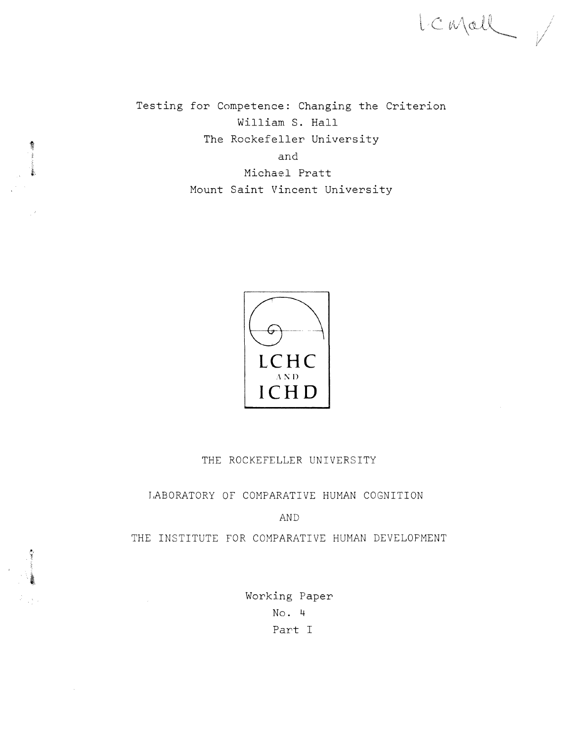Testing for Competence: Changing the Criterion William S. Hall The Rockefeller University and Michael Pratt Mount Saint Vincent University

LC Mall V



### THE ROCKEFELLER UNIVERSITY

## LABORATORY OF COMPARATIVE HUMAN COGNITION

AND

THE INSTITUTE FOR COMPARATIVE HUMAN DEVELOPMENT

Working Paper No. 4 Part I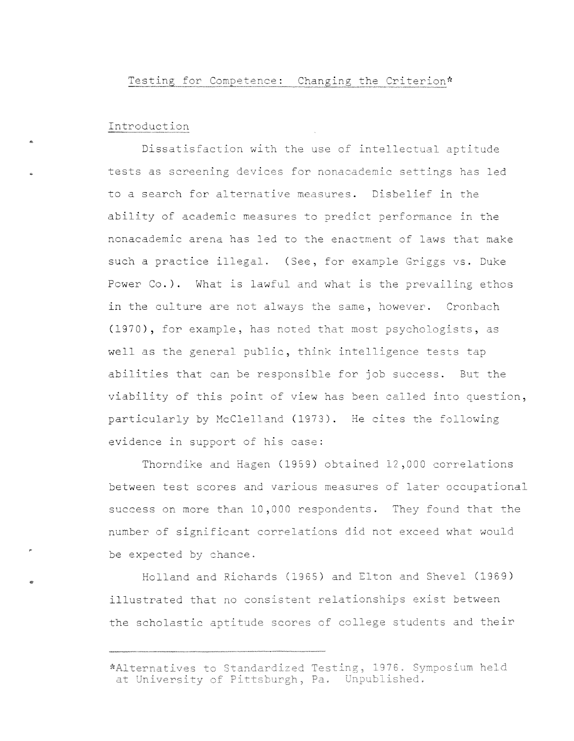#### Introduction

..

..

Dissatisfaction with the use of intellectual aptitude tests as screening devices for nonacademic settings has led to a search for alternative measures. Disbelief in the ability of academic measures to predict performance in the nonacademic arena has led to the enactment of laws that make such a practice illegal. (See, for example Griggs vs. Duke Power Co.). What is lawful and what is the prevailing ethos in the culture are not always the same, however. Cronbach (1970), for example, has noted that most psychologists, as well as the general public, think intelligence tests tap abilities that can be responsible for job success. But the viability of this point of view has been called into question, particularly by McClelland (1973). He cites the following evidence in support of his case:

Thorndike and Hagen (1959) obtained 12,000 correlations between test scores and various measures of later occupational success on more than 10,000 respondents. They found that the number of significant correlations did not exceed what would be expected by chance.

Holland and Richards (1965) and Elton and Shevel (1969) illustrated that no consistent relationships exist between the scholastic aptitude scores of college students and their

<sup>\*</sup>Alternatives to Standardized Testing, 1976. Symposium held at University of Pittsburgh, Pa. Unpublished.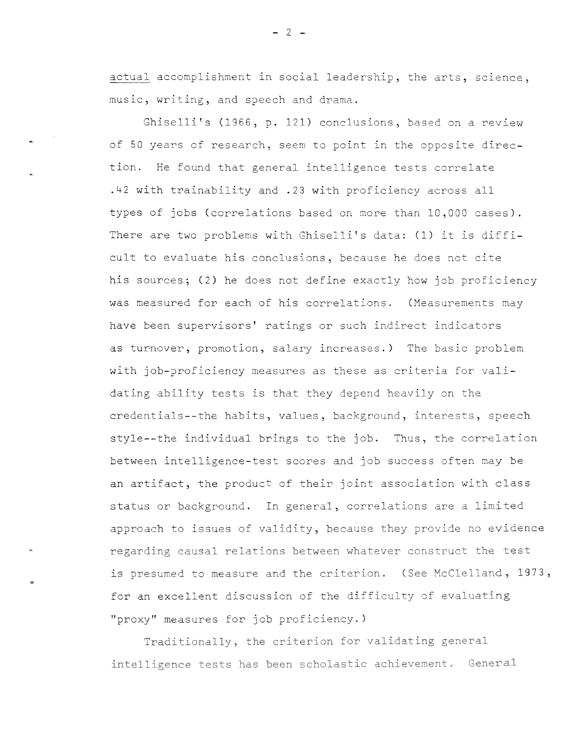<u>actual</u> accomplishment in social leadership, the arts, sciend music, writing, and speech and drama.

Ghiselli's (1966, p. 121) conclusions, based on a review of 50 years of research, seem to point in the opposite direction. He found that general intelligence tests correlate .42 with trainability and .23 with proficiency across all types of jobs (correlations based on more than 10,000 cases). There are two problems with Ghiselli's data: (1) it is difficult to evaluate his conclusions, because he does not cite his sources; (2) he does not define exactly how job proficiency **was** measured for each **of** his correlations~ (Measurements may have been supervisors' ratings or such indirect indicators as turnover, promotion, salary increases.) The basic problem with job-proficiency measures as these as criteria for validating ability tests is that they depend heavily on the credentials--the habits, values, background, interests, speech style--the individual brings to the job. Thus, the correlation between intelligence-test scores and job success often may be an artifact, the product of their joint association with class status or background. In general, correlations are a limited approach to issues of validity, because they provide no evidence regarding causal relations between whatever construct the test is presumed to measure and the criterion. (See McClelland, 1973, for an excellent discussion of the difficulty of evaluating "proxy" measures for job proficiency.)

Traditionally, the criterion for validating general intelligence tests has been scholastic achievement. General

 $- 2 -$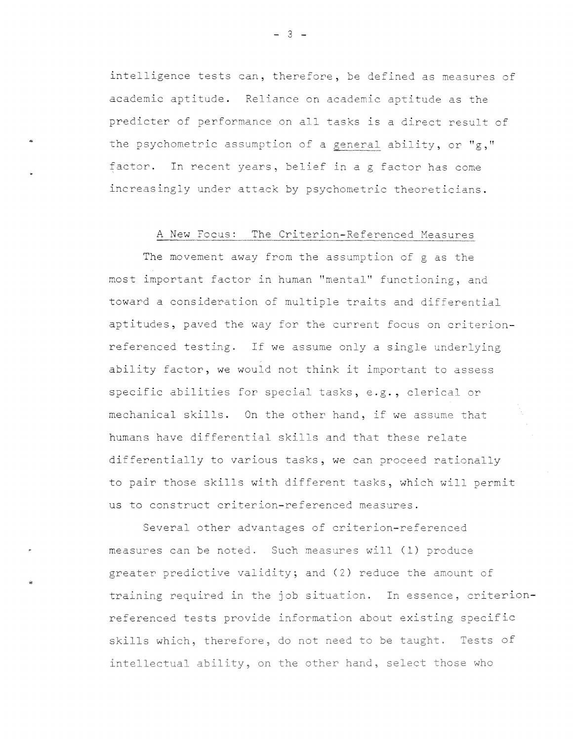intelligence tests can, therefore, be defined as measures of academic aptitude. Reliance on academic aptitude as the predicter of performance on all tasks is a direct result of the psychometric assumption of a general ability, or  $"g,"$ factor. In recent years, belief in a g factor has come increasingly under attack by psychometric theoreticians.

#### A New Focus: The Criterion-Referenced Measures

The movement away from the assumption of g as the most important factor in human "mental" functioning, and toward a consideration of multiple traits and differential aptitudes, paved the way for the current focus on criterionreferenced testing. If we assume only a single underlying ability factor, we would not think it important to assess specific abilities for special tasks, e.g., clerical or mechanical skills. On the other hand, if we assume that humans have differential skills and that these relate differentially to various tasks, we can proceed rationally to pair those skills with different tasks, which will oermit us to construct criterion-referenced measures.

Several other advantages of criterion-referenced measures can be noted. Such measures will (1) produce greater predictive validity; and (2) reduce the amount of training required in the job situation. In essence, criterionreferenced tests provide information about existing specific skills which, therefore, do not need to be taught. Tests of intellectual ability, on the other hand, select those whc

 $- 3 -$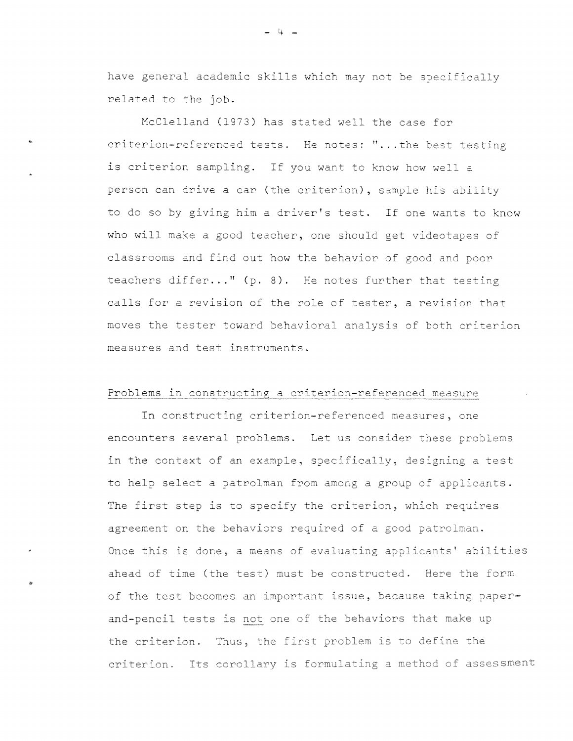have general academic skills which may not be specifically related to the job.

McClelland (1973) has stated well the case for criterion-referenced tests. He notes: '' ... the best testing is criterion sampling. If you want to know how well a person can drive a car (the criterion), sample his ability to do so by giving him a driver's test. If one wants to know who will make a good teacher, one should get videotapes of classrooms and find out how the behavior of good and poor teachers differ..." (p. 8). He notes further that testing calls for a revision of the role of tester, a revision that moves the tester toward behavioral analysis of both criterion measures and test instruments.

#### Problems in constructing a criterion-referenced measure

In constructing criterion-referenced measures, one encounters several problems. Let us consider these problems in the context of an example, specifically, designing a test to help select a patrolman from among a group of applicants. The first step is to specify the criterion, which requires agreement on the behaviors required of a good patrolman. Once this is done, a means of evaluating applicants' abilities ahead of time (the test) must be constructed. Here the form of the test becomes an important issue, because taking paperand-pencil tests is not one of the behaviors that make up **the** criterion. Thus, the first problem is to define the criterion. Its corollary is formulating a method of assessment

..

 $-4 -$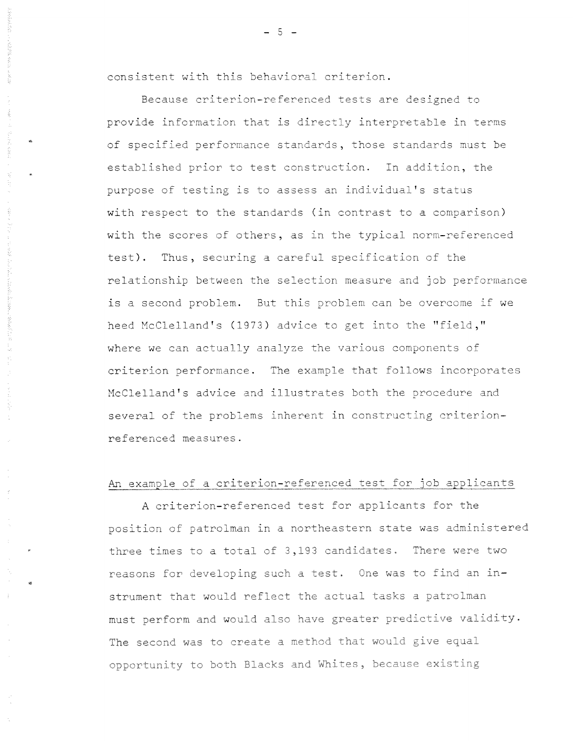consistent with this behavioral criterion.

..

..

Because criterion-referenced tests are designed to provide information that is directly interpretable in terms of specified performance standards, those standards must be established prior to test construction. In addition, the purpose of testing is to assess an individual's status with respect to the standards (in contrast to a comparison) with the scores of others, as in the typical norm-referenced test). Thus, securing a careful specification of the relationship between the selection measure and job performance is a second problem. But this problem can be overcome if we heed McClelland's (1973) advice to get into the "field," where we can actually analyze the various components of criterion performance. The example that follows incorporates McClelland's advice and illustrates both the procedure and several of the problems inherent in constructing criterionreferenced measures.

## An example of a criterion-referenced test for job applicants

A criterion-referenced test for applicants for the position of patrolman in a northeastern state was administered three times to a total of 3,193 candidates. There were two reasons for developing such a test. One was to find an instrument that would reflect the actual tasks a patrolman must perform and would also have greater predictive validity. **The** second was to create a method that would give equal opportunity to both Blacks and Whites, because existing

 $-5 -$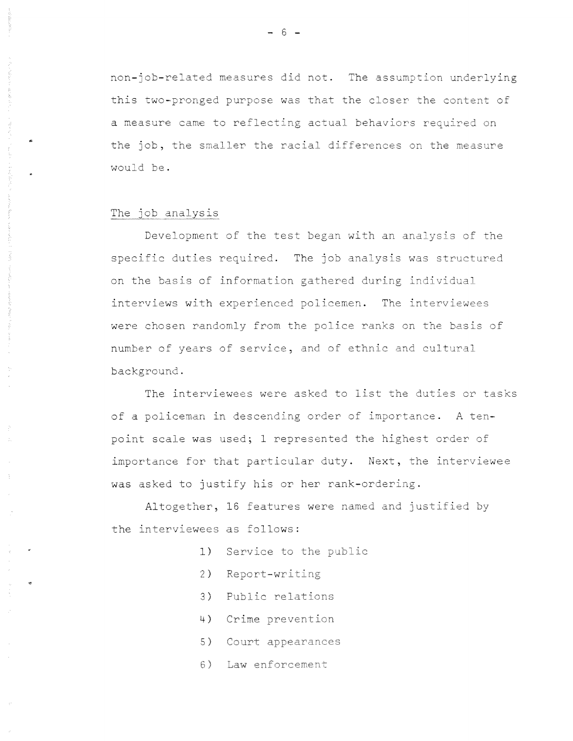non-job-related measures did not. The assumption underlying this two-pronged purpose was that the closer the content of a measure came to reflecting actual behaviors required on the job, the smaller the racial differences on the measure would be.

#### The job analysis

Development of the test began with an analysis of the specific duties required. The job analysis was structured on the basis of information gathered during individual interviews with experienced nolicemen. **The interviewees**  were chosen randomly from the police ranks on the basis of number of years of service, and of ethnic and cultural background.

The interviewees were asked to list the duties or tasks of a policeman in descending order of importance. A tenpoint scale was used; 1 represented the highest order of importance for that particular duty. Next, the interviewee was asked to justify his or her rank-ordering.

Altogether, 16 features were named and justified by the interviewees as follows:

- 1) Service to the public
- 2) Report-writing
- 3) Public relations
- **4)** Crime prevention
- 5) Court appearances
- 6) **Law** enforcement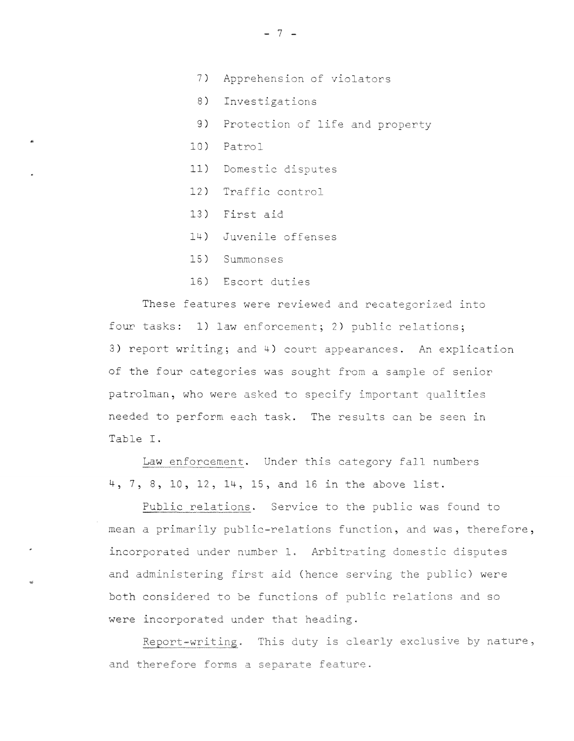- 7) Apprehension of violators
- 8) Investigations
- 9) Protection of life and property
- 10) Patrol
- 11) Domestic disputes
- 12) Traffic control
- 13) First aid
- 14) Juvenile offenses
- 15) Summonses
- 16) Escort duties

These features were reviewed and recategorized into four tasks: 1) law enforcement; 2) public relations; 3) report writing; and 4) court appearances. An explication of the four categories was sought from a sample cf senior patrolman, who were asked to specify important qualities needed to perform each task. The results can be seen in Table I.

Law enforcement. Under this category fall numbers 4, 7, 8, 10, 12, 14, 15, and 16 in the above list.

Public relations. Service to the public was found to mean a primarily public-relations function, and was, therefore, incorporated under number 1. Arbitrating domestic disputes and administering first aid (hence serving the public) were both considered to be functions of public relations and so were incorporated under that heading.

Report-writing. This duty is clearly exclusive by nature, and therefore forms a separate feature.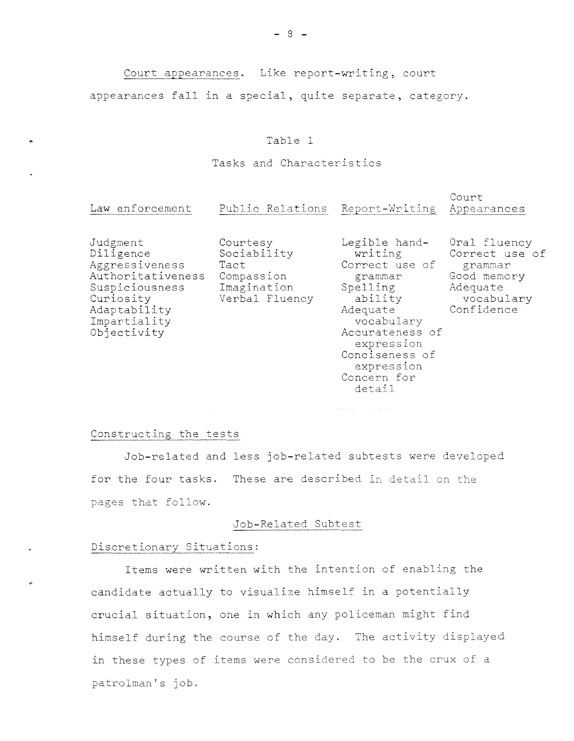Court appearances. Like report-writing, court

appearances fall in a special, quite separate, category.

## Table 1

## Tasks and Characteristics

| Law enforcement                                                                                                                            | Public Relations                                                               | Report-Writing                                                                                                                                                                         | Court<br>Appearances                                                                             |
|--------------------------------------------------------------------------------------------------------------------------------------------|--------------------------------------------------------------------------------|----------------------------------------------------------------------------------------------------------------------------------------------------------------------------------------|--------------------------------------------------------------------------------------------------|
| Judgment<br>Diligence<br>Aggressiveness<br>Authoritativeness<br>Suspiciousness<br>Curiosity<br>Adaptability<br>Impartiality<br>Objectivity | Courtesy<br>Sociability<br>Tact<br>Compassion<br>Imagination<br>Verbal Fluency | Legible hand-<br>writing<br>Correct use of<br>grammar<br>Spelling<br>ability<br>Adequate<br>vocabulary<br>Accurateness of<br>expression<br>Conciseness of<br>expression<br>Concern for | Oral fluency<br>Correct use of<br>grammar<br>Good memory<br>Adequate<br>vocabulary<br>Confidence |

detail

 $\mathcal{A}$  , we can also assume that  $\mathcal{A}$ 

#### Constructing the tests

Job-related and less job-related subtests were developed for the four tasks. These are described in detail on the pages that follow.

#### Job-Related Subtest

#### Discretionary Situations:

.,.

Items were written with the intention of enabling the candidate actually to visualize himself in a potentially crucial situation, one in which any policeman might find himself during the course of the day. The activity displayed in these types of items were considered to be the crux of a patrolman's job.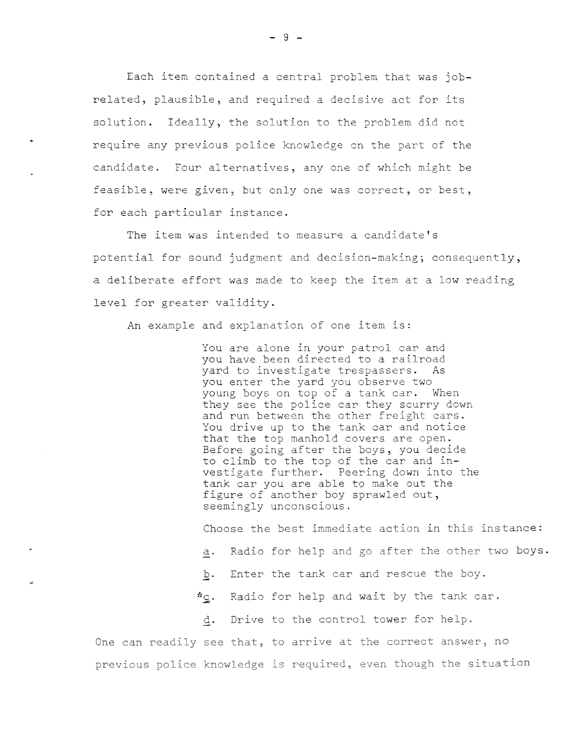Each item contained a central problem that was jobrelated, plausible, and required a decisive act for its solution. Ideally, the solution to the problem did not require any previous police knowledge on the part of the candidate. Four alternatives, any one of which might be feasible, were given, but only one was correct, or best, for each particular instance.

The item was intended to measure a candidate's potential for sound judgment and decision-making; consequently, a deliberate effort was made to keep the item at a low reading level for greater validity.

An example and explanation of one item is:

..

You are alone in your patrol car and you have been directed to a railroad yard to investigate trespassers. As you enter the yard you observe two young boys on top of a tank car. When they see the police car they scurry down and run between the other freight cars. You drive up to the tank car and notice that the top manhold covers are open. Before going after the boys, you decide to climb to the top of the car and investigate further. Peering down into the tank car you are able to make out the figure of another boy sprawled out, seemingly unconscious.

Choose the best immediate action in this instance:

- a. Radio for help and go after the other two boys.
- **b.** Enter the tank car and rescue the boy.
- $c$ . Radio for help and wait by the tank car.
- **d.** Drive to the control tower for help.

**One can** readily see that, to **arrive** at the correct **answer, no**  previous police knowledge is required, even though the situat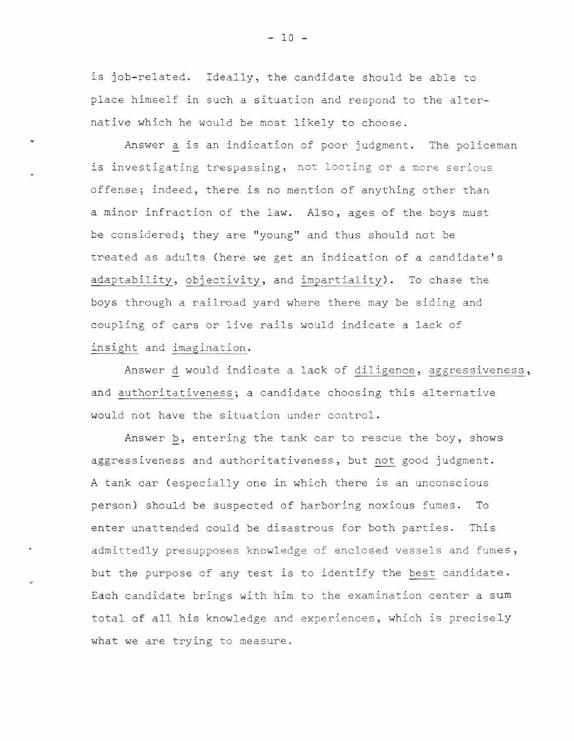is job-related. Ideally, the candidate should be able to place himself in such a situation and respond to the alternative which he would be most likely to choose .

•

Answer a is an indication of poor judgment. The policeman is investigating trespassing, not looting or a more serious offense; indeed, there is no mention of anything other than a minor infraction of the law. Also, ages of the boys must be considered; they are "young" and thus should not be treated as adults (here we get an indication of a candidate's adaptability, objectivity, and impartiality). To chase the boys through a railroad yard where there may be siding and coupling of cars or live rails would indicate a lack of insight and imagination.

Answer d would indicate a lack of diligence, aggressiveness, and authoritativeness; a candidate choosing this alternative would not have the situation under control.

Answer b, entering the tank car to rescue the boy, shows aggressiveness and authoritativeness, but not good judgment. A tank car (especially one in which there is an unconscious person) should be suspected of harboring noxious fumes. To enter unattended could be disastrous for both parties. This admittedly presupposes knowledge of enclosed vessels and fumes, but the purpose of any test is to identify the best candidate. Each candidate brings with him to the examination center a sum total of all his knowledge and experiences, which is precisely **what** we are trying to measure.

 $- 10 -$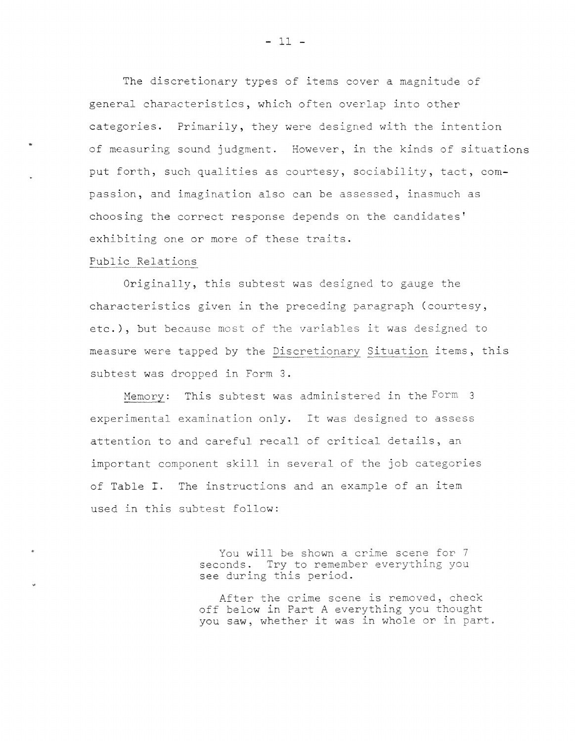The discretionary types of items cover a magnitude of general characteristics, which often overlap into other categories. Primarily, they were designed with the intention of measuring sound judgment. However, in the kinds of situations put forth, such qualities as courtesy, sociability, tact, compassion, and imagination also can be assessed, inasmuch as choosing the correct response depends on the candidates' exhibiting one or more of these traits.

## Public Relations

Originally, this subtest was designed to gauge the characteristics given in the preceding paragraph (courtesy, etc.), but because most of the variables it was designed to measure were tapped by the Discretionary Situation items, this subtest was dropped in Form 3.

Memory: This subtest was administered in the Form 3 experimental examination only. It was designed to assess attention to and careful recall of critical details, an important component skill in several of the job categories of Table I. The instructions and an example of an item used in this subtest follow:

> You will be shown a crime scene for 7 seconds. Try to remember everything you see during this period.

After the crime scene is removed, check off below in Part A everything you thought you saw, whether it was in whole or in part.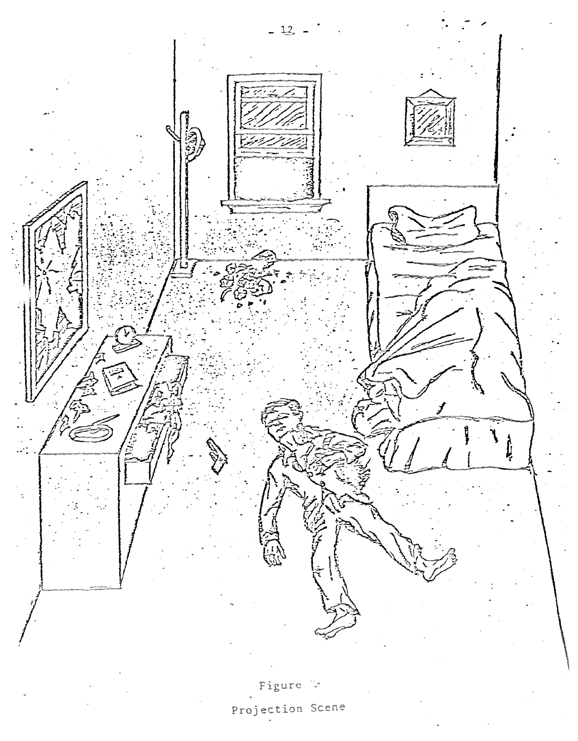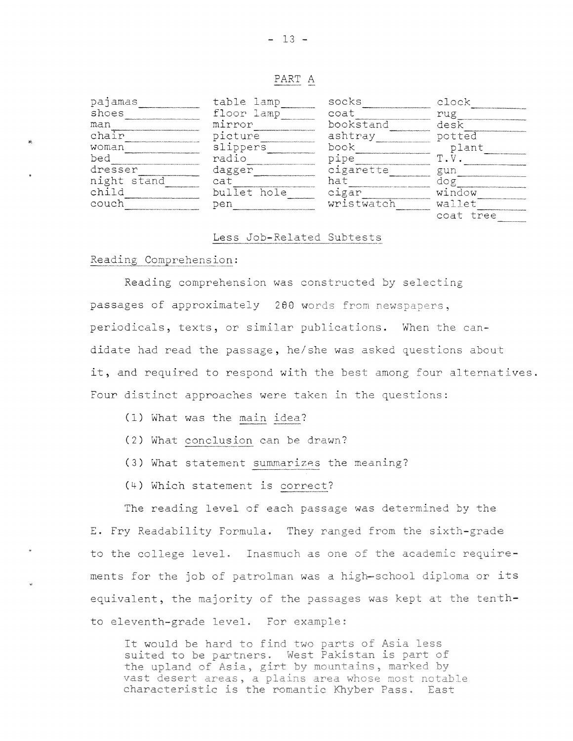#### PART A

| pajamas     | table lamp  | socks      | clock     |
|-------------|-------------|------------|-----------|
| shoes       | floor lamp  | coat       | rug       |
| man         | mirror      | bookstand  | desk      |
| chair       | picture     | ashtray    | potted    |
| woman       | slippers    | book       | plant     |
| bed         | radio       | pıpe       | m         |
| dresser     | dagger      | cigarette  | gun       |
| night stand | cat         | ha t       | do g      |
| child       | bullet hole | cıgar      | window    |
| couch       | pen         | wristwatch | wallet    |
|             |             |            | coat tree |

## Less Job-Related Subtests

## Reading Comprehension:

Reading comprehension was constructed by selecting passages of approximately 288 words from newspapers, periodicals, texts, or similar publications. When the candidate had read the passage, he/she was asked questions about it, and required to respond with the best among four alternatives. Four distinct approaches were taken in the questions:

- (1) What was the main idea?
- (2) What conclusion can be drawn?
- (3) What statement summarizes the meaning?
- (4) Which statement is correct?

The reading level of each passage was determined by the E. Fry Readability Formula. They ranged from the sixth-grade to the college level. Inasmuch as one of the academic requirements for the job of patrolman was a high-school diploma or its equivalent, the majority of the passages was kept at the tenthto eleventh-grade level. For example:

It would be hard to find two parts of Asia less suited to be partners. West Pakistan is part of the upland of Asia, girt by mountains, marked by vast desert areas, a plains area whose most notable characteristic is the romantic Khyber Pass. East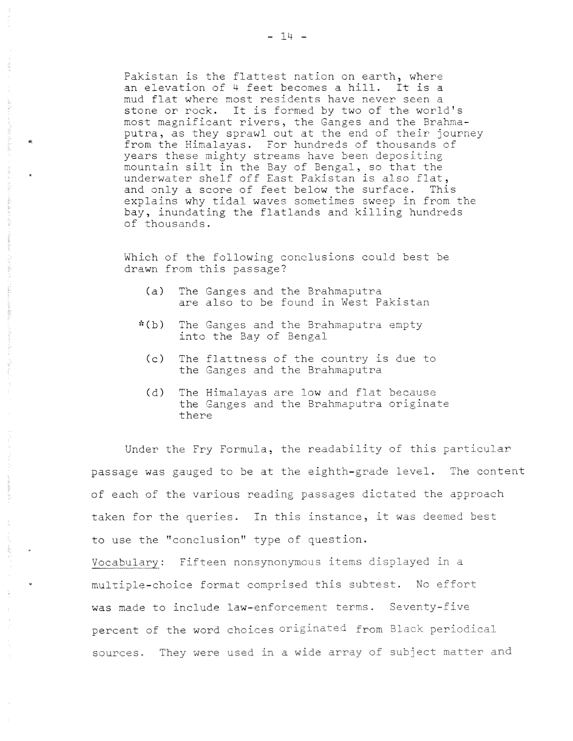Pakistan is the flattest nation on earth, where an elevation of 4 feet becomes a hill. It is a mud flat where most residents have never seen a stone or rock. It is formed by two of the world's most magnificant rivers, the Ganges and the Brahmaputra, as they sprawl out at the end of their journey from the Himalayas. For hundreds of thousands of years these mighty streams have been depositing mountain silt in the Bay of Bengal, so that the underwater shelf off East Pakistan is also flat, and only a score of feet below the surface. This explains why tidal waves sometimes sweep in from the bay, inundating the flatlands and killing hundreds of thousands.

Which of the following conclusions could best be drawn from this passage?

- (a) The Ganges and the Brahmaputra are also to be found in West Pakistan
- \*(b) The Ganges and the Brahmaputra empty into the Bay of Bengal
	- (c) The flattness of the country is due to the Ganges and the Brahmaputra
	- (d) The Himalayas are low and flat because the Ganges and the Brahmaputra originate there

Under the Fry Formula, the readability of this particular passage was gauged to be at the eighth-grade level. The content of each of the various reading passages dictated the approach taken for the queries. In this instance, it was deemed best to use the "conclusion'' type of question.

Vocabula~y: Fifteen nonsynonymous items displayed in a multiple-choice format comprised this subtest. No effort was made to include law-enforcement terms. Seventy-five percent of the word choices originated from Black periodical sources. They were used in a wide array of subject matter and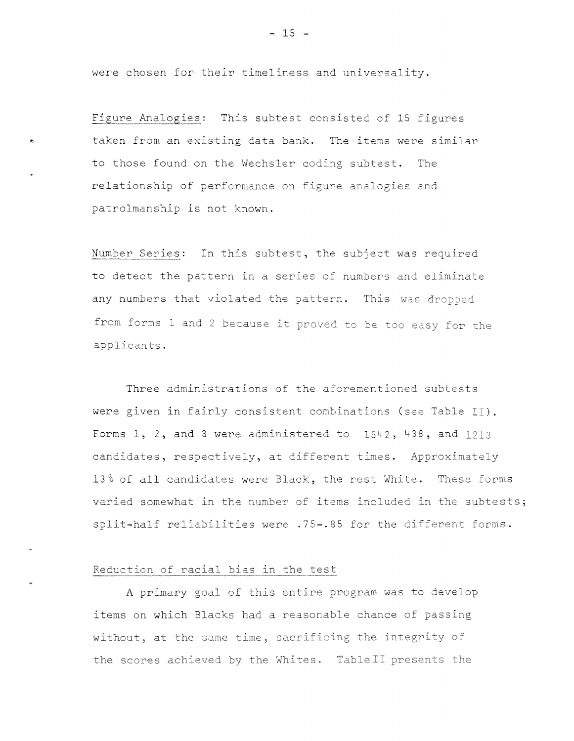were chosen for their timeliness and universality.

Figure Analogies: This subtest consisted of 15 figures taken from an existing data bank. The items were similar to those found on the Wechsler coding subtest. The relationship of performance on figure analogies and patrolmanship is not known.

Number Series: In this subtest, the subject was required to detect the pattern in a series of numbers and eliminate any numbers that violated the pattern. This was dropped from forms land 2 because it proved to be too easy for the applicants.

Three administrations of the aforementioned subtests were given in fairly consistent combinations (see Table II). Forms 1, 2, and 3 were administered to 1542, 438, and 1213 candidates, respectively, at different times. Approximately 13% of all candidates were Black, the rest White. These forms varied somewhat in the number of items included in the subtests; split-half reliabilities were .75-.85 for the different forms.

# Reduction of racial bias in the test

A primary goal of this entire program was to develop items on **which** Blacks had a reasonable chance of passing without, at the same time, sacrificing the integrity of the scores achieved by the Whites. Table II presents the

 $- 15 -$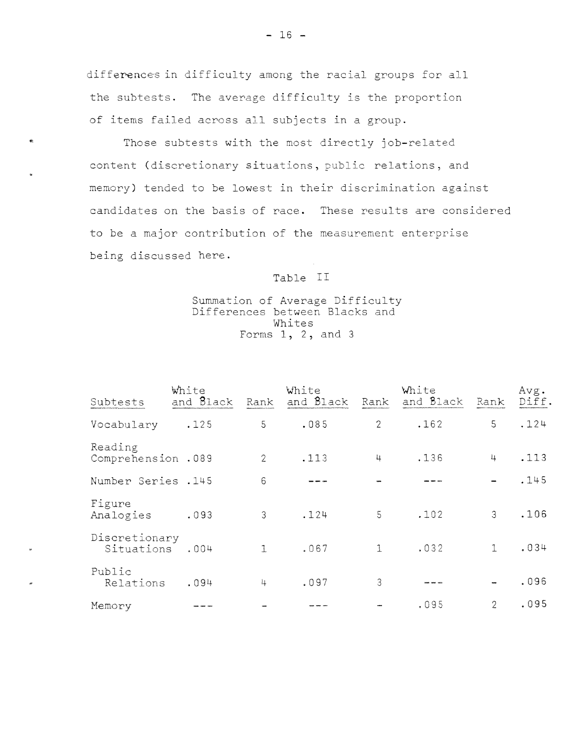differences in difficulty among the racial groups for all the subtests. The average difficulty is the proportion of items failed across all subjects in a group.

Those subtests with the most directly job-related content (discretionary situations, public relations, and memory) tended to be lowest in their discrimination against candidates on the basis of race. These results are considered to be a major contribution of the measurement enterprise being discussed here.

# Table II

## Summation of Average Difficulty Differences between Blacks and Whites Forms 1, 2, and 3

| Subtests                      | White<br>and Black | Rank           | White<br>and Black | Rank           | White<br>and Black | Rank           | Avg.<br>Diff. |
|-------------------------------|--------------------|----------------|--------------------|----------------|--------------------|----------------|---------------|
| Vocabulary                    | .125               | 5              | .085               | $\overline{2}$ | .162               | 5              | .124          |
| Reading<br>Comprehension .089 |                    | $\overline{2}$ | .113               | 4              | .136               | 4              | .113          |
| Number Series . 145           |                    | $6\phantom{1}$ |                    |                |                    |                | .145          |
| Figure<br>Analogies           | .093               | 3              | .124               | 5              | .102               | 3 <sup>1</sup> | .106          |
| Discretionary<br>Situations   | .004               | $\mathbf{I}$   | .067               | $\mathbf{1}$   | .032               | $\mathbf{1}$   | .034          |
| Public<br>Relations           | .094               | 4              | .097               | 3              |                    |                | .096          |
| Memory                        |                    |                |                    |                | .095               | $\overline{2}$ | .095          |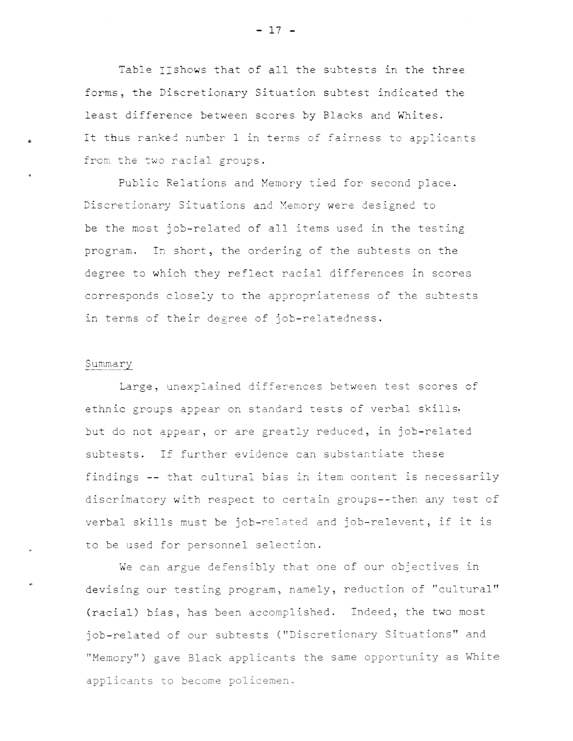Table IIshows that of all the subtests in the three forms, the Discretionary Situation subtest indicated the least difference between scores by Blacks and Whites. It thus ranked number 1 in terms of fairness to applicants from the two racial groups.

Public Relations and Memory tied for second place. Discretionary Situations and Memory were designed to be the most job-related of all items used in the testing program. In short, the ordering of the subtests on the degree to which they reflect racial differences in scores corresponds closely to the appropriateness of the subtests in terms of their degree of job-relatedness.

#### Summary

Large, unexplained differences between test scores of ethnic groups appear on standard tests of verbal skills, but do not appear, or are greatly reduced, in job-related subtests. If further evidence can substantiate these findings -- that cultural bias in item content is necessarily discrimatory with respect to certain groups--then any test of verbal skills must be job-related and job-relevent, if it is to be used for personnel selection.

We can argue defensibly that one of our objectives in devising our testing program, namely, reduction of "cultural" (racial) bias, has been accomplished. Indeed, the two most job-related of our subtests ("Discretionary Situations" and "Memory") gave Black applicants the same opportunity as White applicants to become policemen.

- **17** -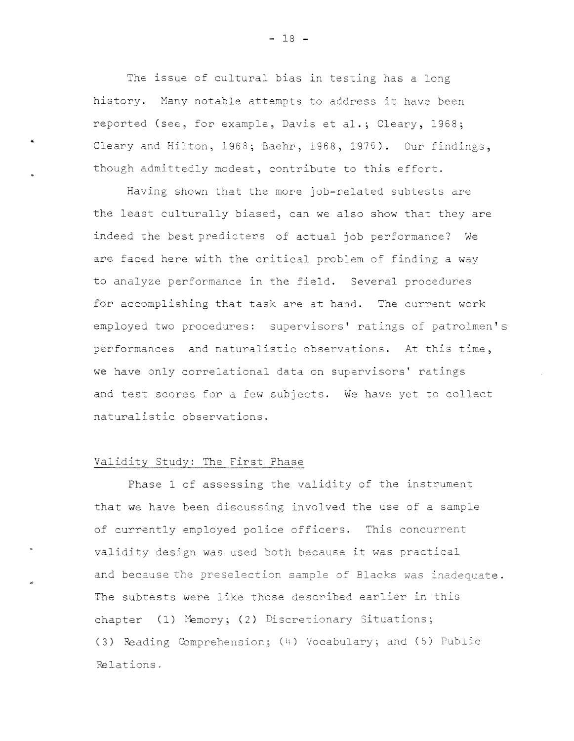The issue of cultural bias in testing has a long history. Many notable attempts to address it have been reported (see, for example, Davis et al.; Cleary, 1968; Cleary and Hilton, 1968; Baehr, 1968, 1976). Our findings, though admittedly modest, contribute to this effort.

Having shown that the more job-related subtests are the least culturally biased, can we also show that they are indeed the best predicters of actual job performance? We are faced here with the critical problem of finding a way to analyze performance in the field. Several procedures for accomplishing that task are at hand. The current work employed two procedures: supervisors' ratings of patrolmen's performances and naturalistic observations. At this time, we have only correlational data on supervisors' ratings and test scores for a few subjects. We have yet to collect naturalistic observations.

#### Validity Study: The First Phase

Phase 1 of assessing the validity of the instrument that we have been discussing involved the use of a sample of currently employed police officers. This concurrent validity design was used both because it was practical and because the preselection sample of Blacks was inadequate. **The** subtests were like those described earlier in this chapter (1) Memory; (2) Discretionary Situations; (3) Reading Comprehension; (4) Vocabulary; and (5) Public Relations.

 $- 18 -$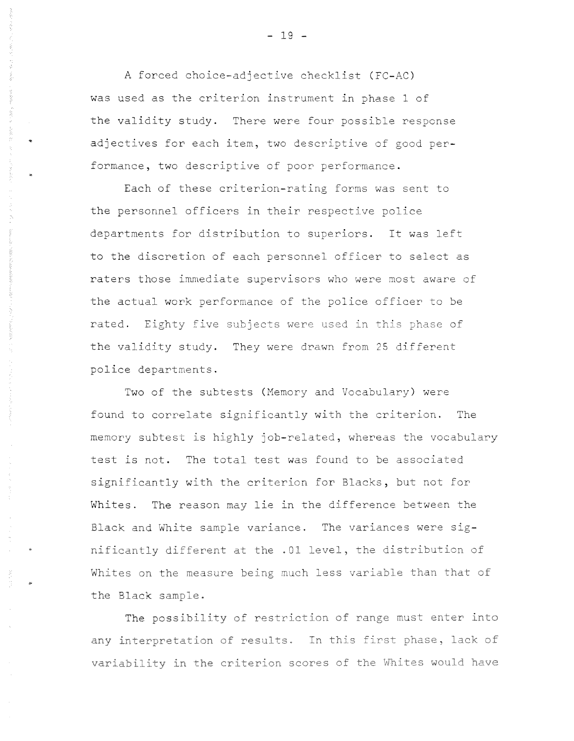A forced choice-adjective checklist (FC-AC) was used as the criterion instrument in phase 1 of the validity study. There were four possible response adjectives for each item, two descriptive of good performance, two descriptive of poor performance.

Each of these criterion-rating forms was sent to the personnel officers in their respective police departments for distribution to superiors. It was left to the discretion of each personnel officer to select as raters those immediate supervisors who were most aware of the actual work performance of the police officer to be rated. Eighty five subjects were used in this phase of the validity study. They were drawn from 25 differ police departments.

Two of the subtests (Memory and Vocabulary) were found to correlate significantly with the criterion. The memory subtest is highly job-related, whereas the vocabulary test is not. The total test was found to be associated significantly with the criterion for Blacks, but not for Whites. The reason may lie in the difference between the Black and White sample variance. The variances were significantly different at the .01 level, the distribution of Whites on the measure being much less variable than that of the Black sample.

**The** possibility of restriction of range must enter into any interpretation of results. In this first phase, lack of variability in the criterion scores of the Whites would have

- 19 -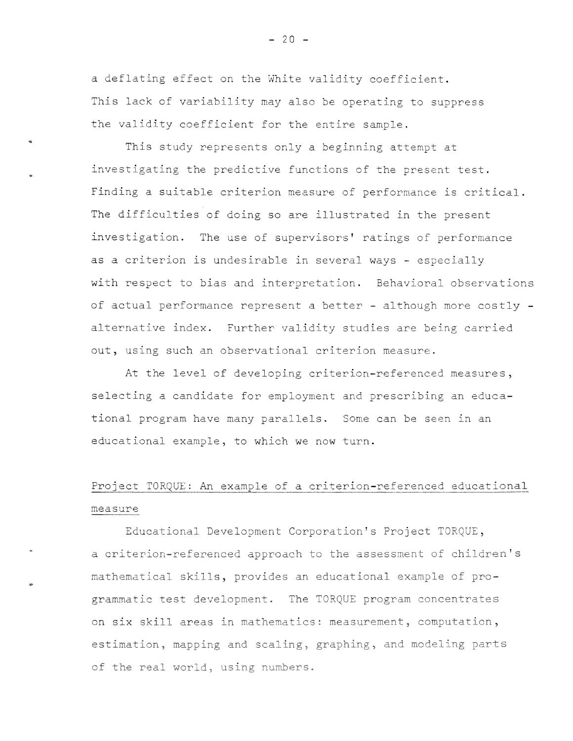a deflating effect on the White validity coefficient. This lack of variability may also be operating to suppress the validity coefficient for the entire sample.

..

..

This study represents only a beginning attempt at investigating the predictive functions of the present test. Finding a suitable criterion measure of performance is critical. The difficulties of doing so are illustrated in the present investigation. The use of supervisors' ratings of performance as a criterion is undesirable in several ways - especially with respect to bias and interpretation. Behavioral observations of actual performance represent a better - although more costly alternative index. Further validity studies are being carried out, using such an observational criterion measure.

At the level of developing criterion-referenced measures, selecting a candidate for employment and prescribing an educational program have many parallels. Some can be seen in an educational example, to which we now turn.

# Project TORQUE: An example of a criterion-referenced educational measure

Educational Development Corporation's Project TORQUE, a criterion-referenced approach to the assessment of children's mathematical skills, provides an educational example of programmatic test development. The TORQUE program concentrates on six skill areas in mathematics: measurement, computation, estimation, mapping and scaling, graphing, and modeling parts of the real world, using numbers

 $- 20 -$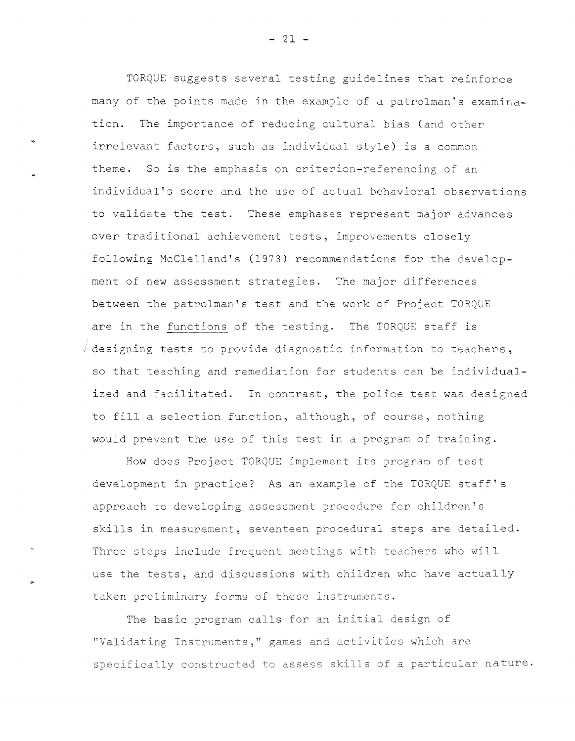TORQUE suggests several testing guidelines that reinforce many of the points made in the example of a patrolman's examination. The importance of reducing cultural bias (and other irrelevant factors, such as individual style) is a common theme. So is the emphasis on criterion-referencing of an individual's score and the use of actual behavioral observations to validate the test. These emphases represent major advances over traditional achievement tests, improvements closely following McClelland's (1973) recommendations for the development of new assessment strategies. The major differences between the patrolman's test and the work of Project TORQUE are in the functions of the testing. The TORQUE staff is  $\sqrt{a}$  designing tests to provide diagnostic information to teachers, so that teaching and remediation for students can be individualized and facilitated. In contrast, the police test was designed to fill a selection function, although, of course, nothing would prevent the use of this test in a program of training.

How does Project TORQUE implement its program of test development in practice? As an example of the TORQUE staff's approach to developing assessment procedure for children's skills in measurement, seventeen procedural steps are detailed. Three steps include frequent meetings with teachers who will use the tests, and discussions with children who have actually taken preliminary forms of these instruments.

..

The basic program calls for an initial design of "Validating Instruments," games and activities which are specifically constructed to assess skills of a particular nature.

 $- 21 -$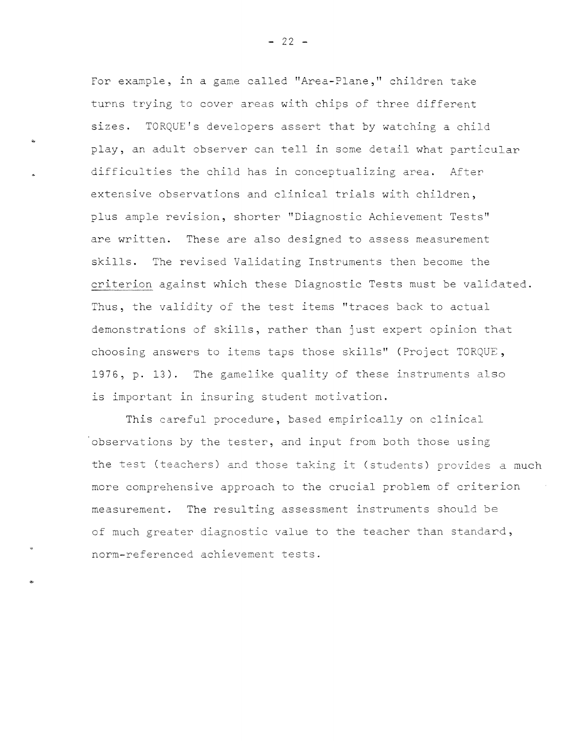For example, in a game called "Area-Plane," children take turns trying to cover areas with chips of three different sizes. TORQUE's developers assert that by watching a child play, an adult observer can tell in some detail what particular difficulties the child has in conceptualizing area. After extensive observations and clinical trials with children, plus ample revision, shorter "Diagnostic Achievement Tests" are written. These are also designed to assess measurement skills. The revised Validating Instruments then become the criterion against which these Diagnostic Tests must be validated. Thus, the validity of the test items "traces back to actual demonstrations of skills, rather than just expert opinion that choosing answers to items taps those skills" (Project TORQUE, 1976, p. 13). The gamelike quality of these instruments also is important in insuring student motivation.

This careful procedure, based empirically on clinical 'observations by the tester, and input from both those using the test (teachers) and those taking it (students) provides a much more comprehensive approach to the crucial problem of criterion measurement. The resulting assessment instruments should be of much greater diagnostic value to the teacher than standard, norm-referenced achievement tests .

•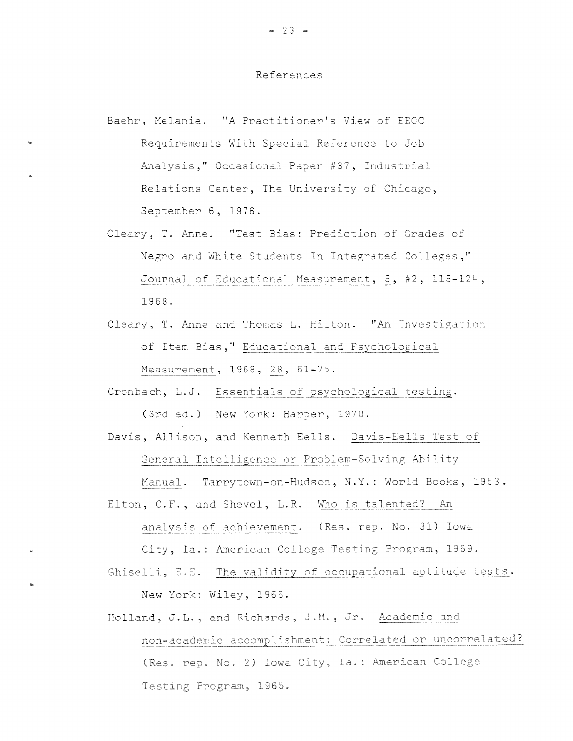## References

Baehr, Melanie. "A Practitioner's View of EEOC Requirements With Special Reference to Job Analysis," Occasional Paper #37, Industrial Relations Center, The University of Chicago, September 6, 1976.

..

..

- Cleary, T. Anne. "Test Bias: Prediction of Grades of Negro and White Students In Integrated Colleges," Journal of Educational Measurement, 5, #2, 115-124, 1968.
- Cleary, T. Anne and Thomas L. Hilton. "An Investigation of Item Bias," Educational and Psychological Measurement, 1968, 28, 61-75.
- Cronbach, L.J. Essentials of psychological testing. (3rd ed.) New York: Harper, 1970.

Davis, Allison, and Kenneth Eells. Davis-Eells Test of General Intelligence or Problem-Solving Ability

Manual. Tarrytown-on-Hudson, N.Y.: World Books, 1953. Elton, C.F., and Shevel, L.R. Who is talented? An

analysis of achievement. (Res. rep. No. 31) Iowa City, Ia.: American College Testing Program, 1969.

Ghiselli, E.E. The validity of occupational aptitude tests. New York: Wiley, 1966.

Holland, J.L., and Richards, J.M., Jr. Academic and non-academic accomplishment: Correlated or uncorrelated? (Res. rep. No. 2) Iowa City, Ia.: American Colleg Testing Program, 1965.